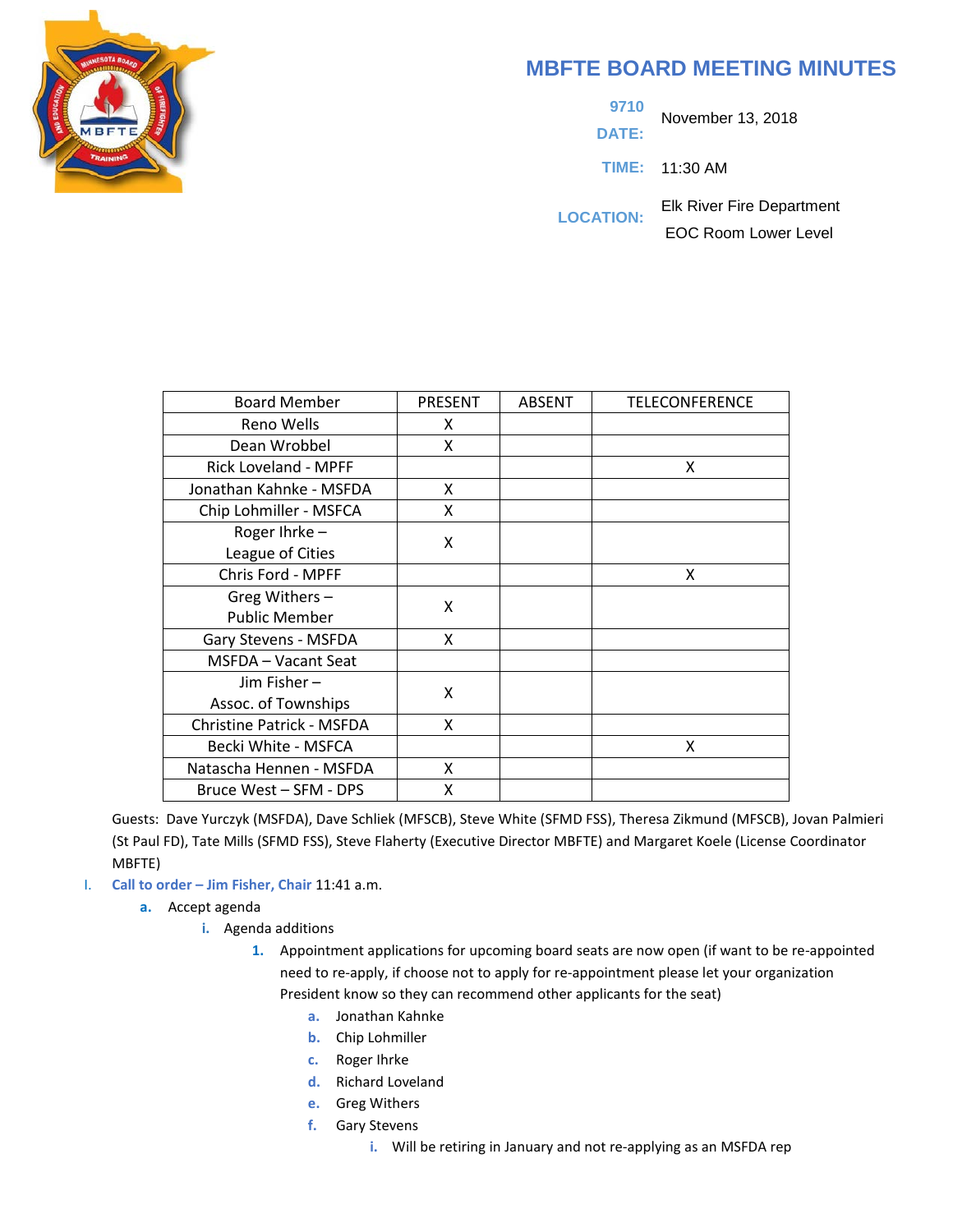

# **MBFTE BOARD MEETING MINUTES**

**9710 DATE:** November 13, 2018

**TIME:** 11:30 AM

**LOCATION:** Elk River Fire Department EOC Room Lower Level

| <b>Board Member</b>              | <b>PRESENT</b> | <b>ABSENT</b> | TELECONFERENCE |
|----------------------------------|----------------|---------------|----------------|
| Reno Wells                       | X              |               |                |
| Dean Wrobbel                     | X              |               |                |
| Rick Loveland - MPFF             |                |               | x              |
| Jonathan Kahnke - MSFDA          | X              |               |                |
| Chip Lohmiller - MSFCA           | X              |               |                |
| Roger Ihrke-                     | X              |               |                |
| League of Cities                 |                |               |                |
| Chris Ford - MPFF                |                |               | X              |
| Greg Withers-                    | X              |               |                |
| <b>Public Member</b>             |                |               |                |
| Gary Stevens - MSFDA             | X              |               |                |
| MSFDA - Vacant Seat              |                |               |                |
| Jim Fisher $-$                   | X              |               |                |
| Assoc. of Townships              |                |               |                |
| <b>Christine Patrick - MSFDA</b> | X              |               |                |
| Becki White - MSFCA              |                |               | X              |
| Natascha Hennen - MSFDA          | X              |               |                |
| Bruce West - SFM - DPS           | x              |               |                |

Guests: Dave Yurczyk (MSFDA), Dave Schliek (MFSCB), Steve White (SFMD FSS), Theresa Zikmund (MFSCB), Jovan Palmieri (St Paul FD), Tate Mills (SFMD FSS), Steve Flaherty (Executive Director MBFTE) and Margaret Koele (License Coordinator MBFTE)

- I. **Call to order – Jim Fisher, Chair** 11:41 a.m.
	- **a.** Accept agenda
		- **i.** Agenda additions
			- **1.** Appointment applications for upcoming board seats are now open (if want to be re-appointed need to re-apply, if choose not to apply for re-appointment please let your organization President know so they can recommend other applicants for the seat)
				- **a.** Jonathan Kahnke
				- **b.** Chip Lohmiller
				- **c.** Roger Ihrke
				- **d.** Richard Loveland
				- **e.** Greg Withers
				- **f.** Gary Stevens
					- **i.** Will be retiring in January and not re-applying as an MSFDA rep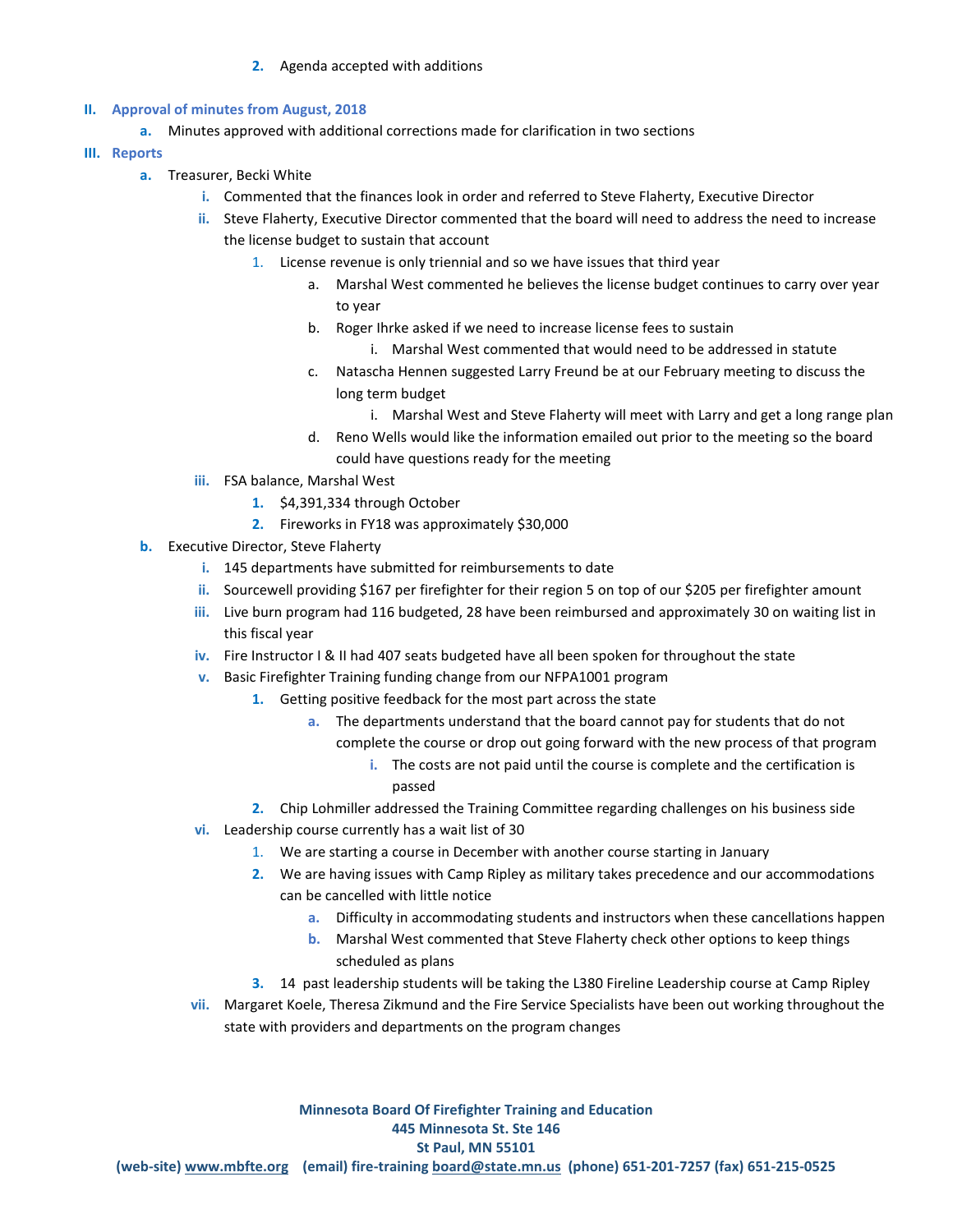#### **2.** Agenda accepted with additions

# **II. Approval of minutes from August, 2018**

- **a.** Minutes approved with additional corrections made for clarification in two sections
- **III. Reports**
	- **a.** Treasurer, Becki White
		- **i.** Commented that the finances look in order and referred to Steve Flaherty, Executive Director
		- **ii.** Steve Flaherty, Executive Director commented that the board will need to address the need to increase the license budget to sustain that account
			- 1. License revenue is only triennial and so we have issues that third year
				- a. Marshal West commented he believes the license budget continues to carry over year to year
				- b. Roger Ihrke asked if we need to increase license fees to sustain
					- i. Marshal West commented that would need to be addressed in statute
				- c. Natascha Hennen suggested Larry Freund be at our February meeting to discuss the long term budget
					- i. Marshal West and Steve Flaherty will meet with Larry and get a long range plan
				- d. Reno Wells would like the information emailed out prior to the meeting so the board could have questions ready for the meeting
		- **iii.** FSA balance, Marshal West
			- **1.** \$4,391,334 through October
			- **2.** Fireworks in FY18 was approximately \$30,000
	- **b.** Executive Director, Steve Flaherty
		- **i.** 145 departments have submitted for reimbursements to date
		- **ii.** Sourcewell providing \$167 per firefighter for their region 5 on top of our \$205 per firefighter amount
		- **iii.** Live burn program had 116 budgeted, 28 have been reimbursed and approximately 30 on waiting list in this fiscal year
		- **iv.** Fire Instructor I & II had 407 seats budgeted have all been spoken for throughout the state
		- **v.** Basic Firefighter Training funding change from our NFPA1001 program
			- **1.** Getting positive feedback for the most part across the state
				- **a.** The departments understand that the board cannot pay for students that do not
					- complete the course or drop out going forward with the new process of that program
						- **i.** The costs are not paid until the course is complete and the certification is passed
			- **2.** Chip Lohmiller addressed the Training Committee regarding challenges on his business side
		- **vi.** Leadership course currently has a wait list of 30
			- 1. We are starting a course in December with another course starting in January
			- **2.** We are having issues with Camp Ripley as military takes precedence and our accommodations can be cancelled with little notice
				- **a.** Difficulty in accommodating students and instructors when these cancellations happen
				- **b.** Marshal West commented that Steve Flaherty check other options to keep things scheduled as plans
			- **3.** 14 past leadership students will be taking the L380 Fireline Leadership course at Camp Ripley
		- **vii.** Margaret Koele, Theresa Zikmund and the Fire Service Specialists have been out working throughout the state with providers and departments on the program changes

**Minnesota Board Of Firefighter Training and Education 445 Minnesota St. Ste 146 St Paul, MN 55101 (web-site) [www.mbfte.org](http://www.mbfte.org/) (email) fire-training [board@state.mn.us](mailto:board@state.mn.us) (phone) 651-201-7257 (fax) 651-215-0525**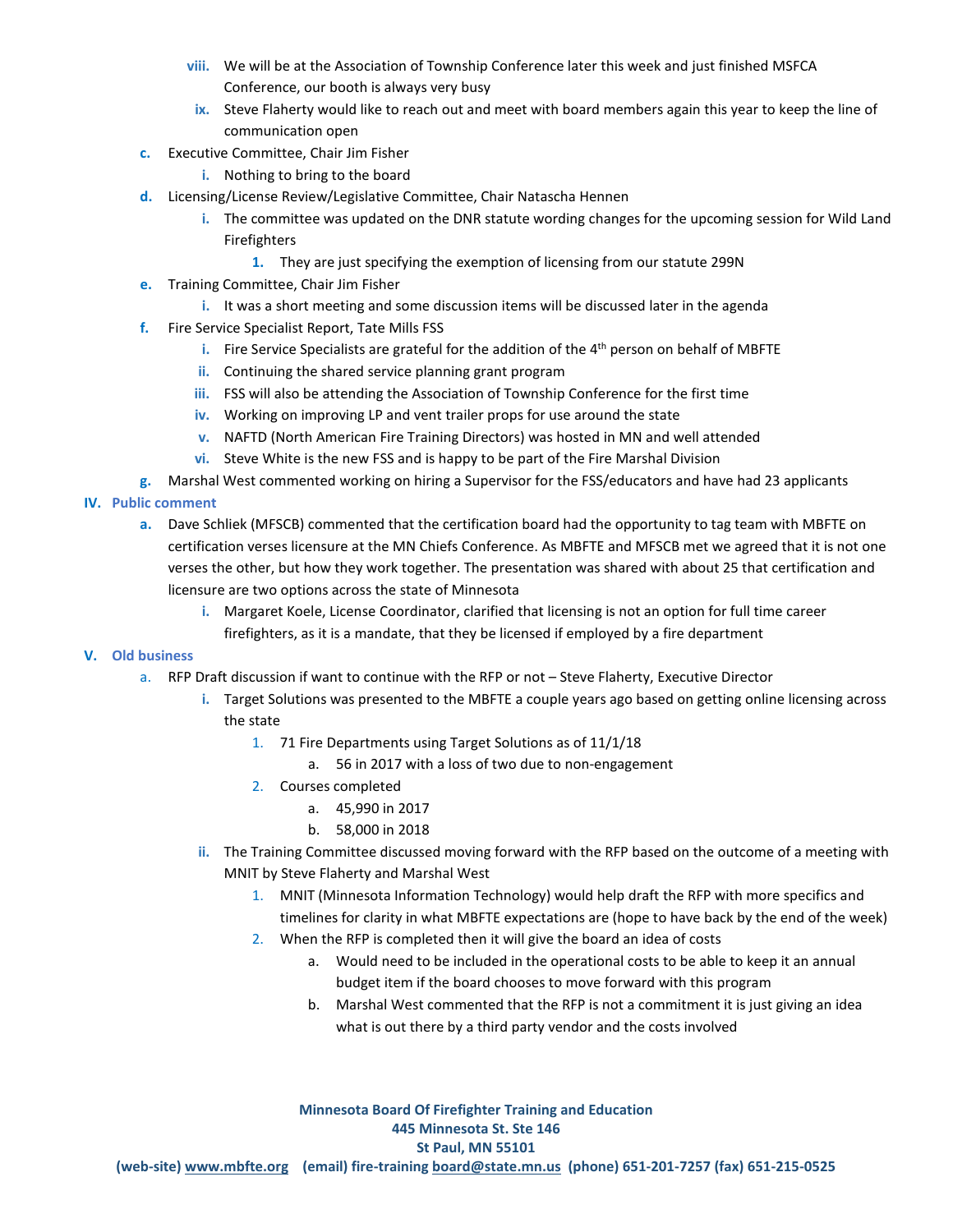- **viii.** We will be at the Association of Township Conference later this week and just finished MSFCA Conference, our booth is always very busy
- **ix.** Steve Flaherty would like to reach out and meet with board members again this year to keep the line of communication open
- **c.** Executive Committee, Chair Jim Fisher
	- **i.** Nothing to bring to the board
- **d.** Licensing/License Review/Legislative Committee, Chair Natascha Hennen
	- **i.** The committee was updated on the DNR statute wording changes for the upcoming session for Wild Land Firefighters
		- **1.** They are just specifying the exemption of licensing from our statute 299N
- **e.** Training Committee, Chair Jim Fisher
	- **i.** It was a short meeting and some discussion items will be discussed later in the agenda
- **f.** Fire Service Specialist Report, Tate Mills FSS
	- **i.** Fire Service Specialists are grateful for the addition of the 4<sup>th</sup> person on behalf of MBFTE
	- **ii.** Continuing the shared service planning grant program
	- **iii.** FSS will also be attending the Association of Township Conference for the first time
	- **iv.** Working on improving LP and vent trailer props for use around the state
	- **v.** NAFTD (North American Fire Training Directors) was hosted in MN and well attended
	- **vi.** Steve White is the new FSS and is happy to be part of the Fire Marshal Division

**g.** Marshal West commented working on hiring a Supervisor for the FSS/educators and have had 23 applicants

- **IV. Public comment**
	- **a.** Dave Schliek (MFSCB) commented that the certification board had the opportunity to tag team with MBFTE on certification verses licensure at the MN Chiefs Conference. As MBFTE and MFSCB met we agreed that it is not one verses the other, but how they work together. The presentation was shared with about 25 that certification and licensure are two options across the state of Minnesota
		- **i.** Margaret Koele, License Coordinator, clarified that licensing is not an option for full time career firefighters, as it is a mandate, that they be licensed if employed by a fire department

#### **V. Old business**

- a. RFP Draft discussion if want to continue with the RFP or not Steve Flaherty, Executive Director
	- **i.** Target Solutions was presented to the MBFTE a couple years ago based on getting online licensing across the state
		- 1. 71 Fire Departments using Target Solutions as of 11/1/18
			- a. 56 in 2017 with a loss of two due to non-engagement
		- 2. Courses completed
			- a. 45,990 in 2017
			- b. 58,000 in 2018
	- **ii.** The Training Committee discussed moving forward with the RFP based on the outcome of a meeting with MNIT by Steve Flaherty and Marshal West
		- 1. MNIT (Minnesota Information Technology) would help draft the RFP with more specifics and timelines for clarity in what MBFTE expectations are (hope to have back by the end of the week)
		- 2. When the RFP is completed then it will give the board an idea of costs
			- a. Would need to be included in the operational costs to be able to keep it an annual budget item if the board chooses to move forward with this program
			- b. Marshal West commented that the RFP is not a commitment it is just giving an idea what is out there by a third party vendor and the costs involved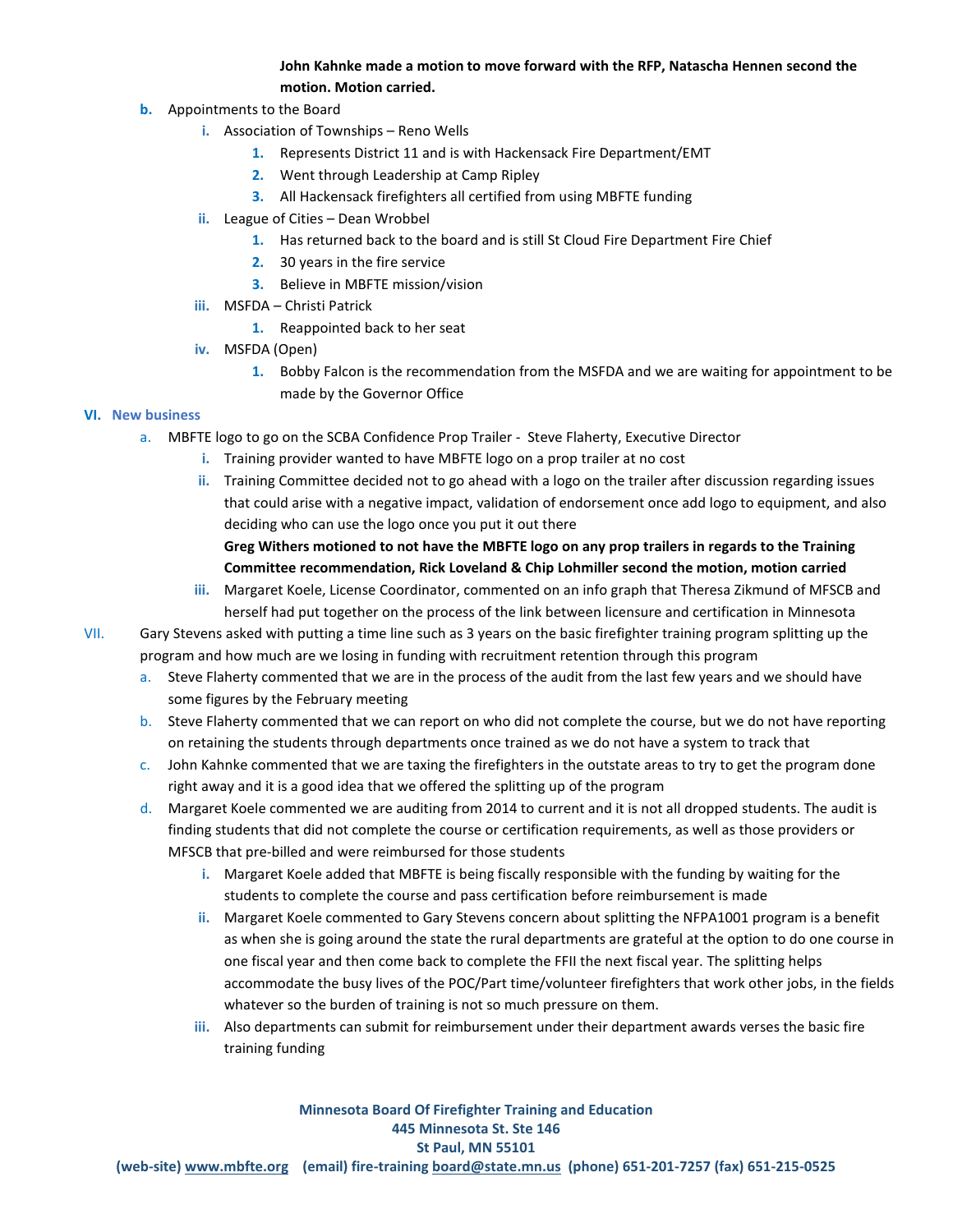## **John Kahnke made a motion to move forward with the RFP, Natascha Hennen second the motion. Motion carried.**

- **b.** Appointments to the Board
	- **i.** Association of Townships Reno Wells
		- **1.** Represents District 11 and is with Hackensack Fire Department/EMT
		- **2.** Went through Leadership at Camp Ripley
		- **3.** All Hackensack firefighters all certified from using MBFTE funding
	- **ii.** League of Cities Dean Wrobbel
		- **1.** Has returned back to the board and is still St Cloud Fire Department Fire Chief
		- **2.** 30 years in the fire service
		- **3.** Believe in MBFTE mission/vision
	- **iii.** MSFDA Christi Patrick
		- **1.** Reappointed back to her seat
	- **iv.** MSFDA (Open)
		- **1.** Bobby Falcon is the recommendation from the MSFDA and we are waiting for appointment to be made by the Governor Office

## **VI. New business**

- a. MBFTE logo to go on the SCBA Confidence Prop Trailer Steve Flaherty, Executive Director
	- **i.** Training provider wanted to have MBFTE logo on a prop trailer at no cost
	- **ii.** Training Committee decided not to go ahead with a logo on the trailer after discussion regarding issues that could arise with a negative impact, validation of endorsement once add logo to equipment, and also deciding who can use the logo once you put it out there

**Greg Withers motioned to not have the MBFTE logo on any prop trailers in regards to the Training Committee recommendation, Rick Loveland & Chip Lohmiller second the motion, motion carried** 

**iii.** Margaret Koele, License Coordinator, commented on an info graph that Theresa Zikmund of MFSCB and herself had put together on the process of the link between licensure and certification in Minnesota

VII. Gary Stevens asked with putting a time line such as 3 years on the basic firefighter training program splitting up the program and how much are we losing in funding with recruitment retention through this program

- a. Steve Flaherty commented that we are in the process of the audit from the last few years and we should have some figures by the February meeting
- b. Steve Flaherty commented that we can report on who did not complete the course, but we do not have reporting on retaining the students through departments once trained as we do not have a system to track that
- c. John Kahnke commented that we are taxing the firefighters in the outstate areas to try to get the program done right away and it is a good idea that we offered the splitting up of the program
- d. Margaret Koele commented we are auditing from 2014 to current and it is not all dropped students. The audit is finding students that did not complete the course or certification requirements, as well as those providers or MFSCB that pre-billed and were reimbursed for those students
	- **i.** Margaret Koele added that MBFTE is being fiscally responsible with the funding by waiting for the students to complete the course and pass certification before reimbursement is made
	- **ii.** Margaret Koele commented to Gary Stevens concern about splitting the NFPA1001 program is a benefit as when she is going around the state the rural departments are grateful at the option to do one course in one fiscal year and then come back to complete the FFII the next fiscal year. The splitting helps accommodate the busy lives of the POC/Part time/volunteer firefighters that work other jobs, in the fields whatever so the burden of training is not so much pressure on them.
	- **iii.** Also departments can submit for reimbursement under their department awards verses the basic fire training funding